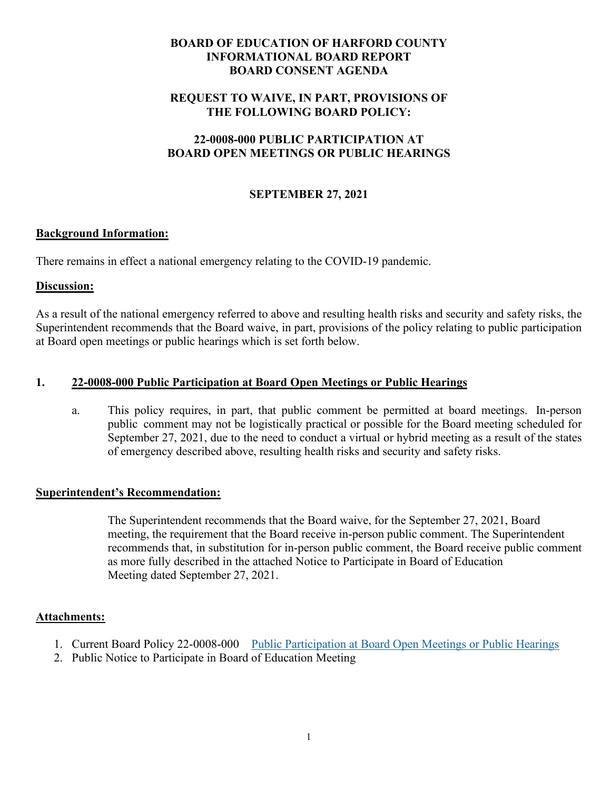# **BOARD OF EDUCATION OF HARFORD COUNTY INFORMATIONAL BOARD REPORT BOARD CONSENT AGENDA**

## **REQUEST TO WAIVE, IN PART, PROVISIONS OF THE FOLLOWING BOARD POLICY:**

## **22-0008-000 PUBLIC PARTICIPATION AT BOARD OPEN MEETINGS OR PUBLIC HEARINGS**

## **SEPTEMBER 27, 2021**

## **Background Information:**

There remains in effect a national emergency relating to the COVID-19 pandemic.

### **Discussion:**

As a result of the national emergency referred to above and resulting health risks and security and safety risks, the Superintendent recommends that the Board waive, in part, provisions of the policy relating to public participation at Board open meetings or public hearings which is set forth below.

## **1. 22-0008-000 Public Participation at Board Open Meetings or Public Hearings**

a. This policy requires, in part, that public comment be permitted at board meetings. In-person public comment may not be logistically practical or possible for the Board meeting scheduled for September 27, 2021, due to the need to conduct a virtual or hybrid meeting as a result of the states of emergency described above, resulting health risks and security and safety risks.

### **Superintendent's Recommendation:**

 The Superintendent recommends that the Board waive, for the September 27, 2021, Board meeting, the requirement that the Board receive in-person public comment. The Superintendent recommends that, in substitution for in-person public comment, the Board receive public comment as more fully described in the attached Notice to Participate in Board of Education Meeting dated September 27, 2021.

### **Attachments:**

- 1. Current Board Policy 22-0008-000 [Public Participation at Board Open Meetings or Public Hearings](https://www.hcps.org/boe/PoliciesProcedures/docs/School_System_Governance/0008-000%20Public%20Participation%20at%20Board%20Open%20Meetings%20or%20Public%20Hearings.pdf)
- 2. Public Notice to Participate in Board of Education Meeting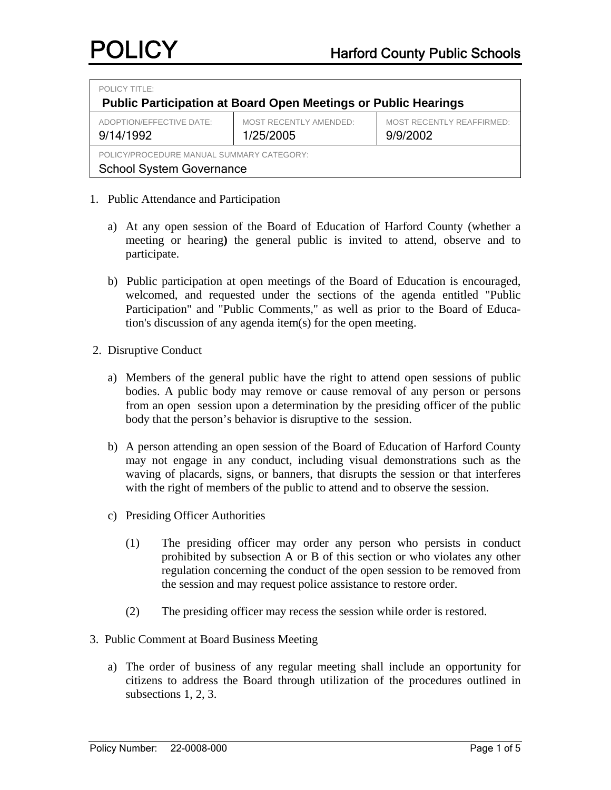| <b>POLICY TITLE:</b><br><b>Public Participation at Board Open Meetings or Public Hearings</b> |                                            |                                       |  |  |  |  |
|-----------------------------------------------------------------------------------------------|--------------------------------------------|---------------------------------------|--|--|--|--|
| ADOPTION/EFFECTIVE DATE:<br>9/14/1992                                                         | <b>MOST RECENTLY AMENDED:</b><br>1/25/2005 | MOST RECENTLY REAFFIRMED:<br>9/9/2002 |  |  |  |  |
| POLICY/PROCEDURE MANUAL SUMMARY CATEGORY:<br><b>School System Governance</b>                  |                                            |                                       |  |  |  |  |

- 1. Public Attendance and Participation
	- a) At any open session of the Board of Education of Harford County (whether a meeting or hearing**)** the general public is invited to attend, observe and to participate.
	- b) Public participation at open meetings of the Board of Education is encouraged, welcomed, and requested under the sections of the agenda entitled "Public Participation" and "Public Comments," as well as prior to the Board of Education's discussion of any agenda item(s) for the open meeting.
- 2. Disruptive Conduct
	- a) Members of the general public have the right to attend open sessions of public bodies. A public body may remove or cause removal of any person or persons from an open session upon a determination by the presiding officer of the public body that the person's behavior is disruptive to the session.
	- b) A person attending an open session of the Board of Education of Harford County may not engage in any conduct, including visual demonstrations such as the waving of placards, signs, or banners, that disrupts the session or that interferes with the right of members of the public to attend and to observe the session.
	- c) Presiding Officer Authorities
		- (1) The presiding officer may order any person who persists in conduct prohibited by subsection A or B of this section or who violates any other regulation concerning the conduct of the open session to be removed from the session and may request police assistance to restore order.
		- (2) The presiding officer may recess the session while order is restored.
- 3. Public Comment at Board Business Meeting
	- a) The order of business of any regular meeting shall include an opportunity for citizens to address the Board through utilization of the procedures outlined in subsections 1, 2, 3.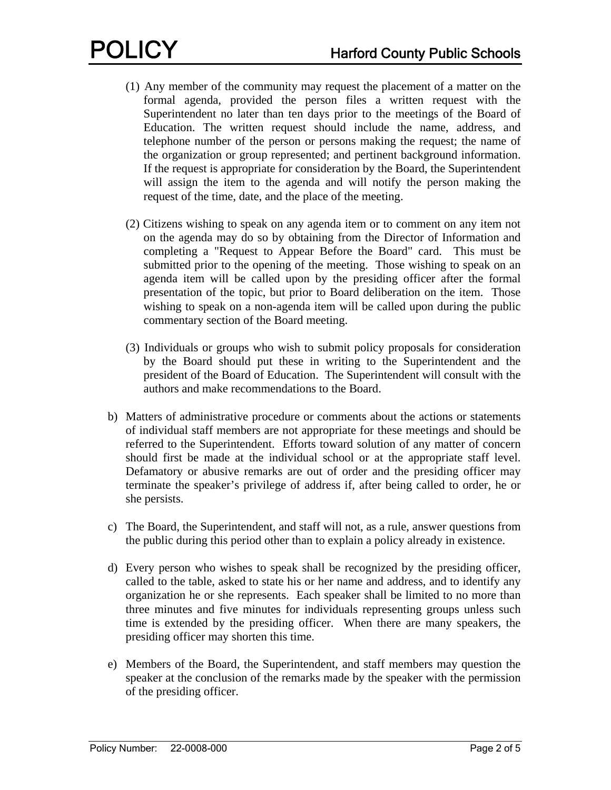- (1) Any member of the community may request the placement of a matter on the formal agenda, provided the person files a written request with the Superintendent no later than ten days prior to the meetings of the Board of Education. The written request should include the name, address, and telephone number of the person or persons making the request; the name of the organization or group represented; and pertinent background information. If the request is appropriate for consideration by the Board, the Superintendent will assign the item to the agenda and will notify the person making the request of the time, date, and the place of the meeting.
- (2) Citizens wishing to speak on any agenda item or to comment on any item not on the agenda may do so by obtaining from the Director of Information and completing a "Request to Appear Before the Board" card. This must be submitted prior to the opening of the meeting. Those wishing to speak on an agenda item will be called upon by the presiding officer after the formal presentation of the topic, but prior to Board deliberation on the item. Those wishing to speak on a non-agenda item will be called upon during the public commentary section of the Board meeting.
- (3) Individuals or groups who wish to submit policy proposals for consideration by the Board should put these in writing to the Superintendent and the president of the Board of Education. The Superintendent will consult with the authors and make recommendations to the Board.
- b) Matters of administrative procedure or comments about the actions or statements of individual staff members are not appropriate for these meetings and should be referred to the Superintendent. Efforts toward solution of any matter of concern should first be made at the individual school or at the appropriate staff level. Defamatory or abusive remarks are out of order and the presiding officer may terminate the speaker's privilege of address if, after being called to order, he or she persists.
- c) The Board, the Superintendent, and staff will not, as a rule, answer questions from the public during this period other than to explain a policy already in existence.
- d) Every person who wishes to speak shall be recognized by the presiding officer, called to the table, asked to state his or her name and address, and to identify any organization he or she represents. Each speaker shall be limited to no more than three minutes and five minutes for individuals representing groups unless such time is extended by the presiding officer. When there are many speakers, the presiding officer may shorten this time.
- e) Members of the Board, the Superintendent, and staff members may question the speaker at the conclusion of the remarks made by the speaker with the permission of the presiding officer.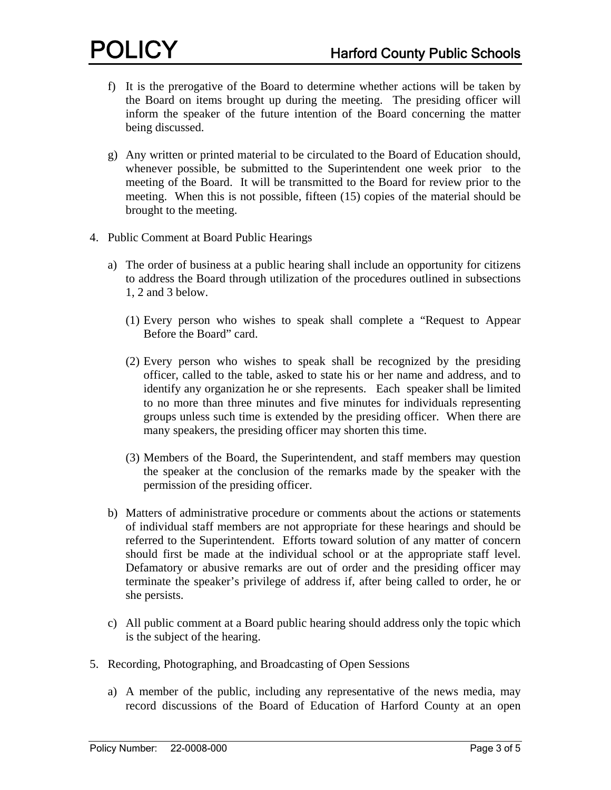- f) It is the prerogative of the Board to determine whether actions will be taken by the Board on items brought up during the meeting. The presiding officer will inform the speaker of the future intention of the Board concerning the matter being discussed.
- g) Any written or printed material to be circulated to the Board of Education should, whenever possible, be submitted to the Superintendent one week prior to the meeting of the Board. It will be transmitted to the Board for review prior to the meeting. When this is not possible, fifteen (15) copies of the material should be brought to the meeting.
- 4. Public Comment at Board Public Hearings
	- a) The order of business at a public hearing shall include an opportunity for citizens to address the Board through utilization of the procedures outlined in subsections 1, 2 and 3 below.
		- (1) Every person who wishes to speak shall complete a "Request to Appear Before the Board" card.
		- (2) Every person who wishes to speak shall be recognized by the presiding officer, called to the table, asked to state his or her name and address, and to identify any organization he or she represents. Each speaker shall be limited to no more than three minutes and five minutes for individuals representing groups unless such time is extended by the presiding officer. When there are many speakers, the presiding officer may shorten this time.
		- (3) Members of the Board, the Superintendent, and staff members may question the speaker at the conclusion of the remarks made by the speaker with the permission of the presiding officer.
	- b) Matters of administrative procedure or comments about the actions or statements of individual staff members are not appropriate for these hearings and should be referred to the Superintendent. Efforts toward solution of any matter of concern should first be made at the individual school or at the appropriate staff level. Defamatory or abusive remarks are out of order and the presiding officer may terminate the speaker's privilege of address if, after being called to order, he or she persists.
	- c) All public comment at a Board public hearing should address only the topic which is the subject of the hearing.
- 5. Recording, Photographing, and Broadcasting of Open Sessions
	- a) A member of the public, including any representative of the news media, may record discussions of the Board of Education of Harford County at an open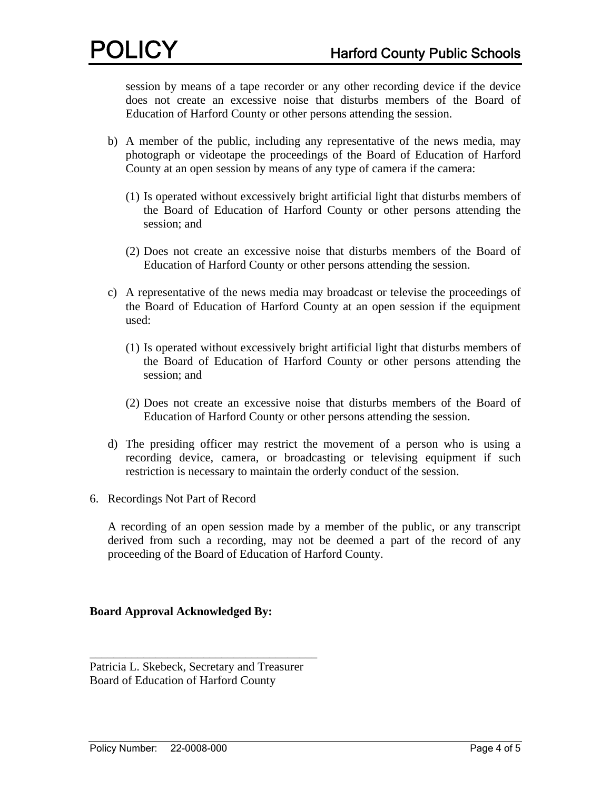session by means of a tape recorder or any other recording device if the device does not create an excessive noise that disturbs members of the Board of Education of Harford County or other persons attending the session.

- b) A member of the public, including any representative of the news media, may photograph or videotape the proceedings of the Board of Education of Harford County at an open session by means of any type of camera if the camera:
	- (1) Is operated without excessively bright artificial light that disturbs members of the Board of Education of Harford County or other persons attending the session; and
	- (2) Does not create an excessive noise that disturbs members of the Board of Education of Harford County or other persons attending the session.
- c) A representative of the news media may broadcast or televise the proceedings of the Board of Education of Harford County at an open session if the equipment used:
	- (1) Is operated without excessively bright artificial light that disturbs members of the Board of Education of Harford County or other persons attending the session; and
	- (2) Does not create an excessive noise that disturbs members of the Board of Education of Harford County or other persons attending the session.
- d) The presiding officer may restrict the movement of a person who is using a recording device, camera, or broadcasting or televising equipment if such restriction is necessary to maintain the orderly conduct of the session.
- 6. Recordings Not Part of Record

A recording of an open session made by a member of the public, or any transcript derived from such a recording, may not be deemed a part of the record of any proceeding of the Board of Education of Harford County.

# **Board Approval Acknowledged By:**

Patricia L. Skebeck, Secretary and Treasurer Board of Education of Harford County

\_\_\_\_\_\_\_\_\_\_\_\_\_\_\_\_\_\_\_\_\_\_\_\_\_\_\_\_\_\_\_\_\_\_\_\_\_\_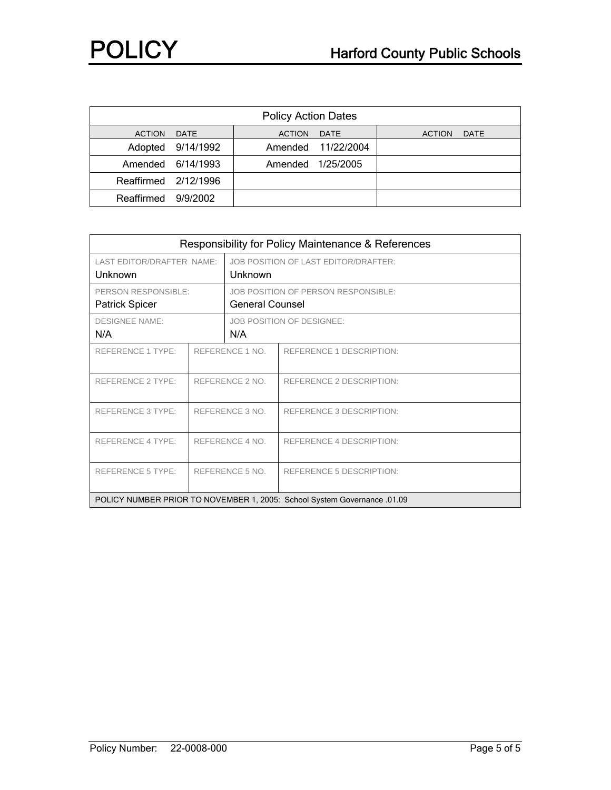| <b>Policy Action Dates</b> |                   |             |                    |             |  |  |  |
|----------------------------|-------------------|-------------|--------------------|-------------|--|--|--|
| ACTION DATE                |                   | ACTION DATE |                    | ACTION DATE |  |  |  |
|                            | Adopted 9/14/1992 |             | Amended 11/22/2004 |             |  |  |  |
|                            | Amended 6/14/1993 |             | Amended 1/25/2005  |             |  |  |  |
| Reaffirmed 2/12/1996       |                   |             |                    |             |  |  |  |
| Reaffirmed 9/9/2002        |                   |             |                    |             |  |  |  |

| Responsibility for Policy Maintenance & References                       |                 |                                      |                                 |  |  |  |
|--------------------------------------------------------------------------|-----------------|--------------------------------------|---------------------------------|--|--|--|
| LAST EDITOR/DRAFTER NAME:                                                |                 | JOB POSITION OF LAST EDITOR/DRAFTER: |                                 |  |  |  |
| Unknown                                                                  |                 | Unknown                              |                                 |  |  |  |
| PERSON RESPONSIBLE:                                                      |                 | JOB POSITION OF PERSON RESPONSIBLE:  |                                 |  |  |  |
| <b>Patrick Spicer</b>                                                    |                 | <b>General Counsel</b>               |                                 |  |  |  |
| <b>DESIGNEE NAME:</b>                                                    |                 | <b>JOB POSITION OF DESIGNEE:</b>     |                                 |  |  |  |
| N/A                                                                      |                 | N/A                                  |                                 |  |  |  |
| REFERENCE 1 TYPE:                                                        | REFERENCE 1 NO. |                                      | REFERENCE 1 DESCRIPTION:        |  |  |  |
|                                                                          |                 |                                      |                                 |  |  |  |
| <b>REFERENCE 2 TYPE:</b>                                                 | REFERENCE 2 NO. |                                      | <b>REFERENCE 2 DESCRIPTION:</b> |  |  |  |
|                                                                          |                 |                                      |                                 |  |  |  |
| <b>REFERENCE 3 TYPE:</b>                                                 | REFERENCE 3 NO. |                                      | REFERENCE 3 DESCRIPTION:        |  |  |  |
|                                                                          |                 |                                      |                                 |  |  |  |
| REFERENCE 4 TYPE:                                                        | REFERENCE 4 NO. |                                      | REFERENCE 4 DESCRIPTION:        |  |  |  |
|                                                                          |                 |                                      |                                 |  |  |  |
| <b>REFERENCE 5 TYPE:</b>                                                 | REFERENCE 5 NO. |                                      | <b>REFERENCE 5 DESCRIPTION:</b> |  |  |  |
|                                                                          |                 |                                      |                                 |  |  |  |
| POLICY NUMBER PRIOR TO NOVEMBER 1, 2005: School System Governance .01.09 |                 |                                      |                                 |  |  |  |